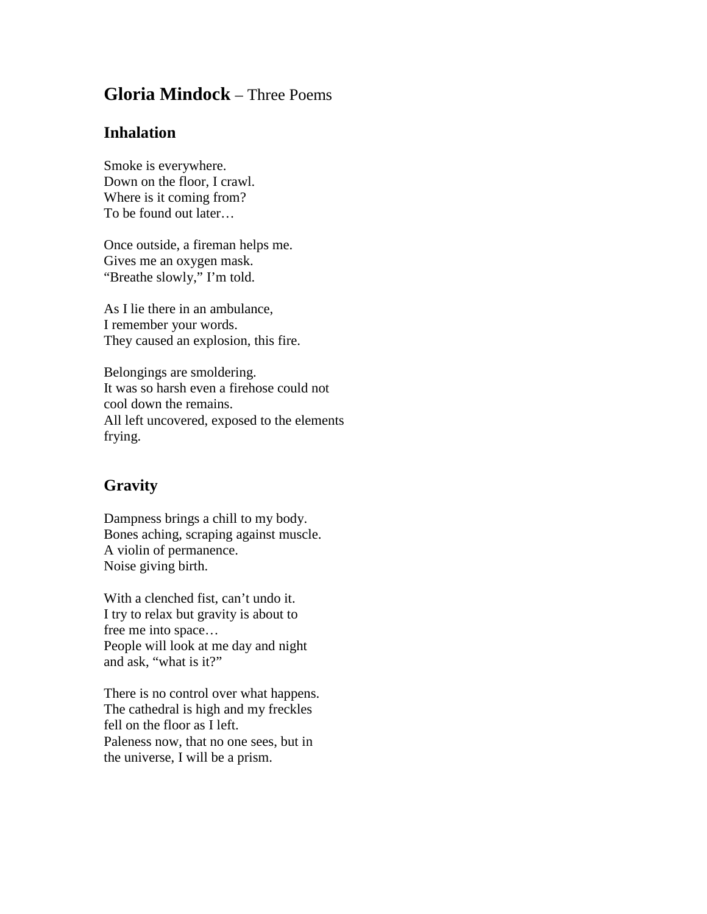## **Gloria Mindock** – Three Poems

## **Inhalation**

Smoke is everywhere. Down on the floor, I crawl. Where is it coming from? To be found out later…

Once outside, a fireman helps me. Gives me an oxygen mask. "Breathe slowly," I'm told.

As I lie there in an ambulance, I remember your words. They caused an explosion, this fire.

Belongings are smoldering. It was so harsh even a firehose could not cool down the remains. All left uncovered, exposed to the elements frying.

## **Gravity**

Dampness brings a chill to my body. Bones aching, scraping against muscle. A violin of permanence. Noise giving birth.

With a clenched fist, can't undo it. I try to relax but gravity is about to free me into space… People will look at me day and night and ask, "what is it?"

There is no control over what happens. The cathedral is high and my freckles fell on the floor as I left. Paleness now, that no one sees, but in the universe, I will be a prism.